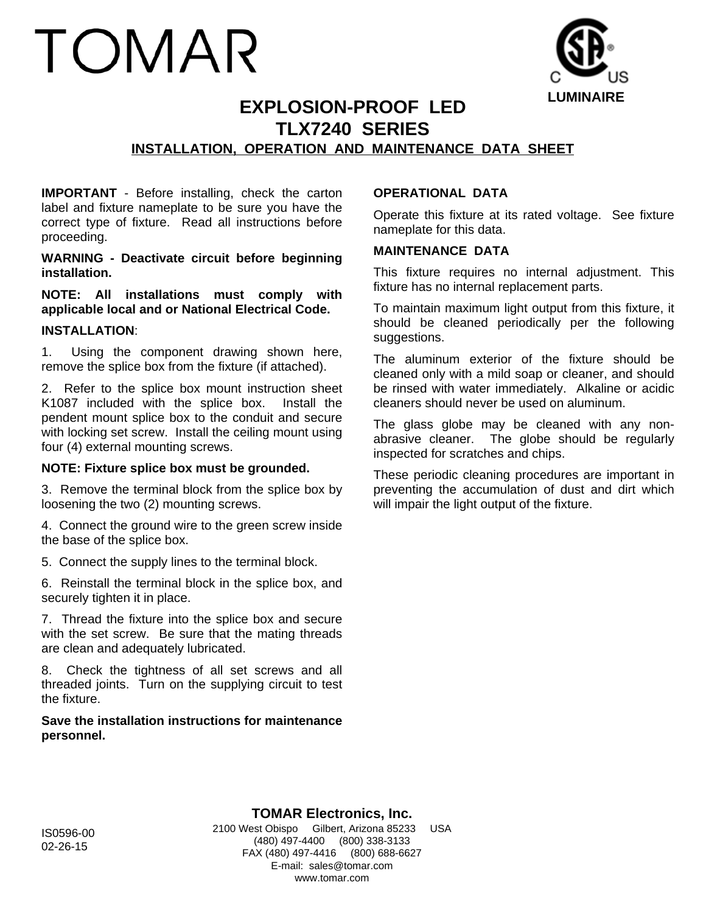# TOMAR



# **EXPLOSION-PROOF LED TLX7240 SERIES**

# **INSTALLATION, OPERATION AND MAINTENANCE DATA SHEET**

**IMPORTANT** - Before installing, check the carton label and fixture nameplate to be sure you have the correct type of fixture. Read all instructions before proceeding.

**WARNING - Deactivate circuit before beginning installation.**

**NOTE: All installations must comply with applicable local and or National Electrical Code.**

## **INSTALLATION**:

1. Using the component drawing shown here, remove the splice box from the fixture (if attached).

2. Refer to the splice box mount instruction sheet K1087 included with the splice box. Install the pendent mount splice box to the conduit and secure with locking set screw. Install the ceiling mount using four (4) external mounting screws.

## **NOTE: Fixture splice box must be grounded.**

3. Remove the terminal block from the splice box by loosening the two (2) mounting screws.

4. Connect the ground wire to the green screw inside the base of the splice box.

5. Connect the supply lines to the terminal block.

6. Reinstall the terminal block in the splice box, and securely tighten it in place.

7. Thread the fixture into the splice box and secure with the set screw. Be sure that the mating threads are clean and adequately lubricated.

8. Check the tightness of all set screws and all threaded joints. Turn on the supplying circuit to test the fixture.

## **Save the installation instructions for maintenance personnel.**

## **OPERATIONAL DATA**

Operate this fixture at its rated voltage. See fixture nameplate for this data.

#### **MAINTENANCE DATA**

This fixture requires no internal adjustment. This fixture has no internal replacement parts.

To maintain maximum light output from this fixture, it should be cleaned periodically per the following suggestions.

The aluminum exterior of the fixture should be cleaned only with a mild soap or cleaner, and should be rinsed with water immediately. Alkaline or acidic cleaners should never be used on aluminum.

The glass globe may be cleaned with any nonabrasive cleaner. The globe should be regularly inspected for scratches and chips.

These periodic cleaning procedures are important in preventing the accumulation of dust and dirt which will impair the light output of the fixture.

**TOMAR Electronics, Inc.** 2100 West Obispo Gilbert, Arizona 85233 USA (480) 497-4400 (800) 338-3133 FAX (480) 497-4416 (800) 688-6627 E-mail: sales@tomar.com www.tomar.com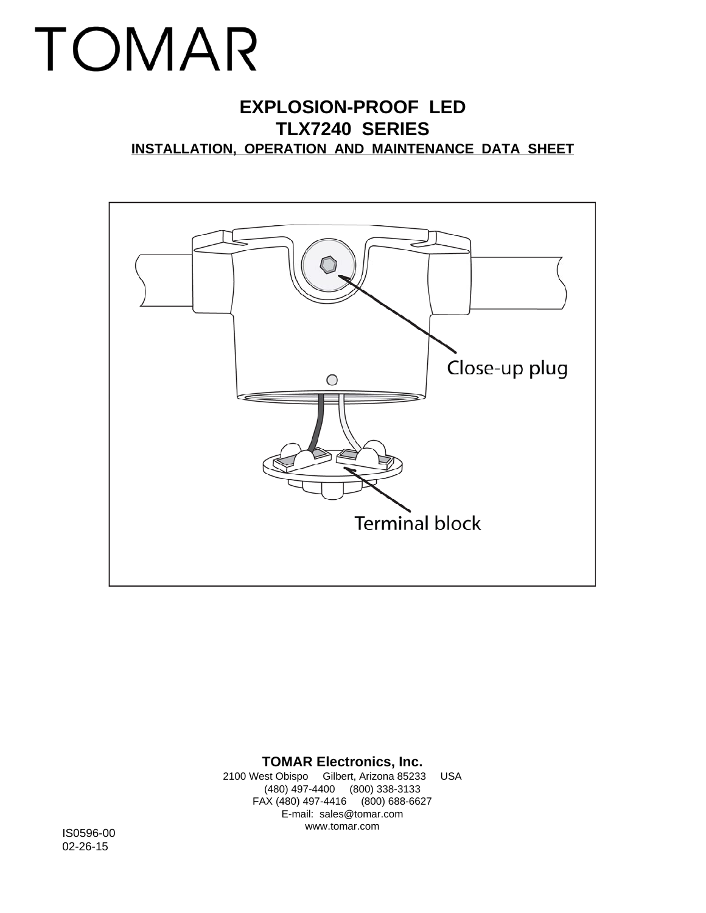# TOMAR

# **EXPLOSION-PROOF LED TLX7240 SERIES INSTALLATION, OPERATION AND MAINTENANCE DATA SHEET**



## **TOMAR Electronics, Inc.**

2100 West Obispo Gilbert, Arizona 85233 USA (480) 497-4400 (800) 338-3133 FAX (480) 497-4416 (800) 688-6627 E-mail: sales@tomar.com www.tomar.com IS0596-00

02-26-15